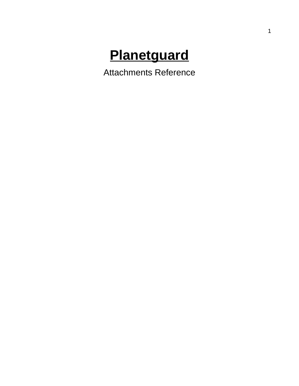# **Planetguard**

Attachments Reference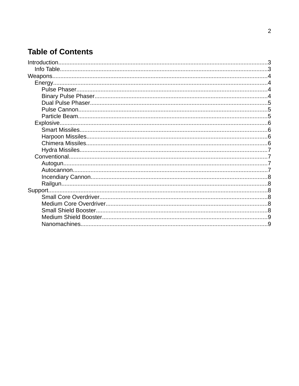## **Table of Contents**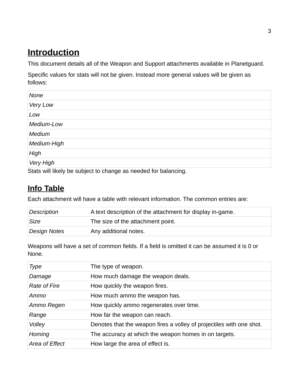# <span id="page-2-1"></span> **Introduction**

This document details all of the Weapon and Support attachments available in Planetguard.

Specific values for stats will not be given. Instead more general values will be given as follows:

| None        |  |
|-------------|--|
| Very Low    |  |
| Low         |  |
| Medium-Low  |  |
| Medium      |  |
| Medium-High |  |
| High        |  |
| Very High   |  |

Stats will likely be subject to change as needed for balancing.

## <span id="page-2-0"></span> **Info Table**

Each attachment will have a table with relevant information. The common entries are:

| Description  | A text description of the attachment for display in-game. |
|--------------|-----------------------------------------------------------|
| Size         | The size of the attachment point.                         |
| Design Notes | Any additional notes.                                     |

Weapons will have a set of common fields. If a field is omitted it can be assumed it is 0 or None.

| Type                | The type of weapon.                                                  |
|---------------------|----------------------------------------------------------------------|
| Damage              | How much damage the weapon deals.                                    |
| <b>Rate of Fire</b> | How quickly the weapon fires.                                        |
| Ammo                | How much ammo the weapon has.                                        |
| Ammo Regen          | How quickly ammo regenerates over time.                              |
| Range               | How far the weapon can reach.                                        |
| Volley              | Denotes that the weapon fires a volley of projectiles with one shot. |
| Homing              | The accuracy at which the weapon homes in on targets.                |
| Area of Effect      | How large the area of effect is.                                     |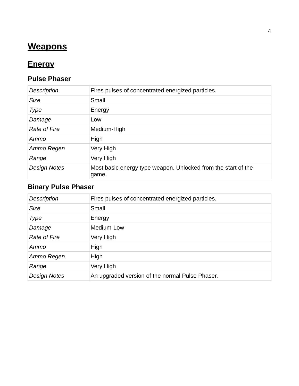# <span id="page-3-3"></span> **Weapons**

# <span id="page-3-2"></span> **Energy**

#### <span id="page-3-1"></span>**Pulse Phaser**

| <b>Description</b>  | Fires pulses of concentrated energized particles.                      |
|---------------------|------------------------------------------------------------------------|
| <b>Size</b>         | Small                                                                  |
| Type                | Energy                                                                 |
| Damage              | Low                                                                    |
| <b>Rate of Fire</b> | Medium-High                                                            |
| Ammo                | High                                                                   |
| Ammo Regen          | Very High                                                              |
| Range               | Very High                                                              |
| <b>Design Notes</b> | Most basic energy type weapon. Unlocked from the start of the<br>game. |

## <span id="page-3-0"></span>**Binary Pulse Phaser**

| <b>Description</b>  | Fires pulses of concentrated energized particles. |
|---------------------|---------------------------------------------------|
| <b>Size</b>         | Small                                             |
| <b>Type</b>         | Energy                                            |
| Damage              | Medium-Low                                        |
| <b>Rate of Fire</b> | Very High                                         |
| Ammo                | High                                              |
| Ammo Regen          | High                                              |
| Range               | Very High                                         |
| <b>Design Notes</b> | An upgraded version of the normal Pulse Phaser.   |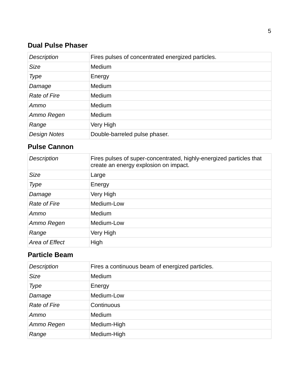#### <span id="page-4-2"></span>**Dual Pulse Phaser**

| <b>Description</b>  | Fires pulses of concentrated energized particles. |
|---------------------|---------------------------------------------------|
| <b>Size</b>         | Medium                                            |
| Type                | Energy                                            |
| Damage              | Medium                                            |
| <b>Rate of Fire</b> | Medium                                            |
| Ammo                | Medium                                            |
| Ammo Regen          | Medium                                            |
| Range               | Very High                                         |
| <b>Design Notes</b> | Double-barreled pulse phaser.                     |

#### <span id="page-4-1"></span>**Pulse Cannon**

| Description         | Fires pulses of super-concentrated, highly-energized particles that<br>create an energy explosion on impact. |
|---------------------|--------------------------------------------------------------------------------------------------------------|
| <b>Size</b>         | Large                                                                                                        |
| Type                | Energy                                                                                                       |
| Damage              | Very High                                                                                                    |
| <b>Rate of Fire</b> | Medium-Low                                                                                                   |
| Ammo                | Medium                                                                                                       |
| Ammo Regen          | Medium-Low                                                                                                   |
| Range               | Very High                                                                                                    |
| Area of Effect      | High                                                                                                         |

#### <span id="page-4-0"></span>**Particle Beam**

| <b>Description</b>  | Fires a continuous beam of energized particles. |
|---------------------|-------------------------------------------------|
| <b>Size</b>         | Medium                                          |
| <b>Type</b>         | Energy                                          |
| Damage              | Medium-Low                                      |
| <b>Rate of Fire</b> | Continuous                                      |
| Ammo                | Medium                                          |
| Ammo Regen          | Medium-High                                     |
| Range               | Medium-High                                     |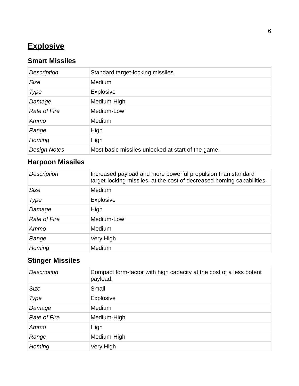# <span id="page-5-2"></span> **Explosive**

## <span id="page-5-1"></span>**Smart Missiles**

| <b>Description</b>  | Standard target-locking missiles.                  |
|---------------------|----------------------------------------------------|
| <b>Size</b>         | Medium                                             |
| Type                | <b>Explosive</b>                                   |
| Damage              | Medium-High                                        |
| <b>Rate of Fire</b> | Medium-Low                                         |
| Ammo                | Medium                                             |
| Range               | High                                               |
| Homing              | High                                               |
| <b>Design Notes</b> | Most basic missiles unlocked at start of the game. |

## <span id="page-5-0"></span>**Harpoon Missiles**

| <b>Description</b>  | Increased payload and more powerful propulsion than standard<br>target-locking missiles, at the cost of decreased homing capabilities. |
|---------------------|----------------------------------------------------------------------------------------------------------------------------------------|
| <b>Size</b>         | Medium                                                                                                                                 |
| <b>Type</b>         | <b>Explosive</b>                                                                                                                       |
| Damage              | High                                                                                                                                   |
| <b>Rate of Fire</b> | Medium-Low                                                                                                                             |
| Ammo                | Medium                                                                                                                                 |
| Range               | Very High                                                                                                                              |
| Homing              | Medium                                                                                                                                 |

# **Stinger Missiles**

| Description         | Compact form-factor with high capacity at the cost of a less potent<br>payload. |
|---------------------|---------------------------------------------------------------------------------|
| <b>Size</b>         | Small                                                                           |
| <b>Type</b>         | Explosive                                                                       |
| Damage              | Medium                                                                          |
| <b>Rate of Fire</b> | Medium-High                                                                     |
| Ammo                | High                                                                            |
| Range               | Medium-High                                                                     |
| Homing              | Very High                                                                       |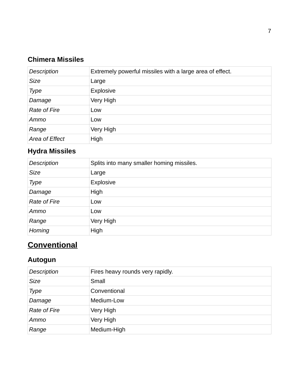## <span id="page-6-3"></span>**Chimera Missiles**

| <b>Description</b>  | Extremely powerful missiles with a large area of effect. |
|---------------------|----------------------------------------------------------|
| <b>Size</b>         | Large                                                    |
| <b>Type</b>         | Explosive                                                |
| Damage              | Very High                                                |
| <b>Rate of Fire</b> | Low                                                      |
| Ammo                | Low                                                      |
| Range               | Very High                                                |
| Area of Effect      | High                                                     |

## <span id="page-6-2"></span>**Hydra Missiles**

| <b>Description</b>  | Splits into many smaller homing missiles. |
|---------------------|-------------------------------------------|
| <b>Size</b>         | Large                                     |
| <b>Type</b>         | Explosive                                 |
| Damage              | High                                      |
| <b>Rate of Fire</b> | Low                                       |
| Ammo                | Low                                       |
| Range               | Very High                                 |
| Homing              | High                                      |

# <span id="page-6-1"></span> **Conventional**

### <span id="page-6-0"></span>**Autogun**

| <b>Description</b>  | Fires heavy rounds very rapidly. |
|---------------------|----------------------------------|
| <b>Size</b>         | Small                            |
| <b>Type</b>         | Conventional                     |
| Damage              | Medium-Low                       |
| <b>Rate of Fire</b> | Very High                        |
| Ammo                | Very High                        |
| Range               | Medium-High                      |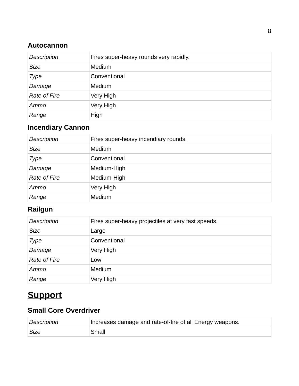#### <span id="page-7-4"></span>**Autocannon**

| <b>Description</b>  | Fires super-heavy rounds very rapidly. |
|---------------------|----------------------------------------|
| <b>Size</b>         | Medium                                 |
| Type                | Conventional                           |
| Damage              | Medium                                 |
| <b>Rate of Fire</b> | Very High                              |
| Ammo                | Very High                              |
| Range               | High                                   |

## <span id="page-7-3"></span>**Incendiary Cannon**

| Description         | Fires super-heavy incendiary rounds. |
|---------------------|--------------------------------------|
| <b>Size</b>         | Medium                               |
| <b>Type</b>         | Conventional                         |
| Damage              | Medium-High                          |
| <b>Rate of Fire</b> | Medium-High                          |
| Ammo                | Very High                            |
| Range               | Medium                               |

## <span id="page-7-2"></span>**Railgun**

| <b>Description</b>  | Fires super-heavy projectiles at very fast speeds. |
|---------------------|----------------------------------------------------|
| <b>Size</b>         | Large                                              |
| <b>Type</b>         | Conventional                                       |
| Damage              | Very High                                          |
| <b>Rate of Fire</b> | Low                                                |
| Ammo                | Medium                                             |
| Range               | Very High                                          |

# <span id="page-7-0"></span> **Support**

## <span id="page-7-1"></span>**Small Core Overdriver**

| Description | Increases damage and rate-of-fire of all Energy weapons. |
|-------------|----------------------------------------------------------|
| Size        | Small                                                    |